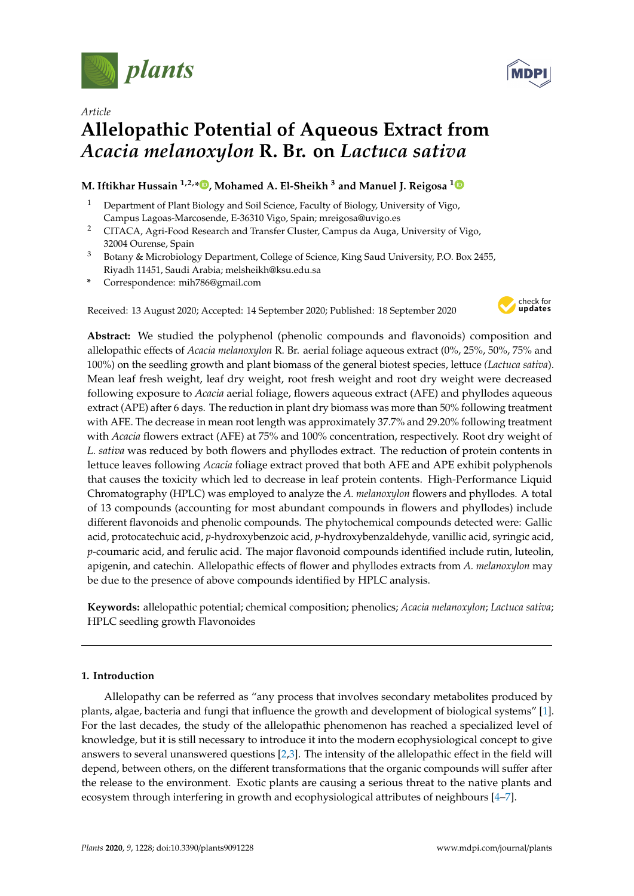



# **Allelopathic Potential of Aqueous Extract from** *Acacia melanoxylon* **R. Br. on** *Lactuca sativa*

# **M. Iftikhar Hussain 1,2,[\\*](https://orcid.org/0000-0002-9710-3801) , Mohamed A. El-Sheikh <sup>3</sup> and Manuel J. Reigosa [1](https://orcid.org/0000-0003-0527-1849)**

- <sup>1</sup> Department of Plant Biology and Soil Science, Faculty of Biology, University of Vigo, Campus Lagoas-Marcosende, E-36310 Vigo, Spain; mreigosa@uvigo.es
- <sup>2</sup> CITACA, Agri-Food Research and Transfer Cluster, Campus da Auga, University of Vigo, 32004 Ourense, Spain
- <sup>3</sup> Botany & Microbiology Department, College of Science, King Saud University, P.O. Box 2455, Riyadh 11451, Saudi Arabia; melsheikh@ksu.edu.sa
- **\*** Correspondence: mih786@gmail.com

Received: 13 August 2020; Accepted: 14 September 2020; Published: 18 September 2020



**Abstract:** We studied the polyphenol (phenolic compounds and flavonoids) composition and allelopathic effects of *Acacia melanoxylon* R. Br. aerial foliage aqueous extract (0%, 25%, 50%, 75% and 100%) on the seedling growth and plant biomass of the general biotest species, lettuce *(Lactuca sativa*). Mean leaf fresh weight, leaf dry weight, root fresh weight and root dry weight were decreased following exposure to *Acacia* aerial foliage, flowers aqueous extract (AFE) and phyllodes aqueous extract (APE) after 6 days. The reduction in plant dry biomass was more than 50% following treatment with AFE. The decrease in mean root length was approximately 37.7% and 29.20% following treatment with *Acacia* flowers extract (AFE) at 75% and 100% concentration, respectively. Root dry weight of *L. sativa* was reduced by both flowers and phyllodes extract. The reduction of protein contents in lettuce leaves following *Acacia* foliage extract proved that both AFE and APE exhibit polyphenols that causes the toxicity which led to decrease in leaf protein contents. High-Performance Liquid Chromatography (HPLC) was employed to analyze the *A. melanoxylon* flowers and phyllodes. A total of 13 compounds (accounting for most abundant compounds in flowers and phyllodes) include different flavonoids and phenolic compounds. The phytochemical compounds detected were: Gallic acid, protocatechuic acid, *p*-hydroxybenzoic acid, *p*-hydroxybenzaldehyde, vanillic acid, syringic acid, *p*-coumaric acid, and ferulic acid. The major flavonoid compounds identified include rutin, luteolin, apigenin, and catechin. Allelopathic effects of flower and phyllodes extracts from *A. melanoxylon* may be due to the presence of above compounds identified by HPLC analysis.

**Keywords:** allelopathic potential; chemical composition; phenolics; *Acacia melanoxylon*; *Lactuca sativa*; HPLC seedling growth Flavonoides

# **1. Introduction**

Allelopathy can be referred as "any process that involves secondary metabolites produced by plants, algae, bacteria and fungi that influence the growth and development of biological systems" [\[1\]](#page-10-0). For the last decades, the study of the allelopathic phenomenon has reached a specialized level of knowledge, but it is still necessary to introduce it into the modern ecophysiological concept to give answers to several unanswered questions [\[2,](#page-10-1)[3\]](#page-10-2). The intensity of the allelopathic effect in the field will depend, between others, on the different transformations that the organic compounds will suffer after the release to the environment. Exotic plants are causing a serious threat to the native plants and ecosystem through interfering in growth and ecophysiological attributes of neighbours [\[4–](#page-10-3)[7\]](#page-10-4).

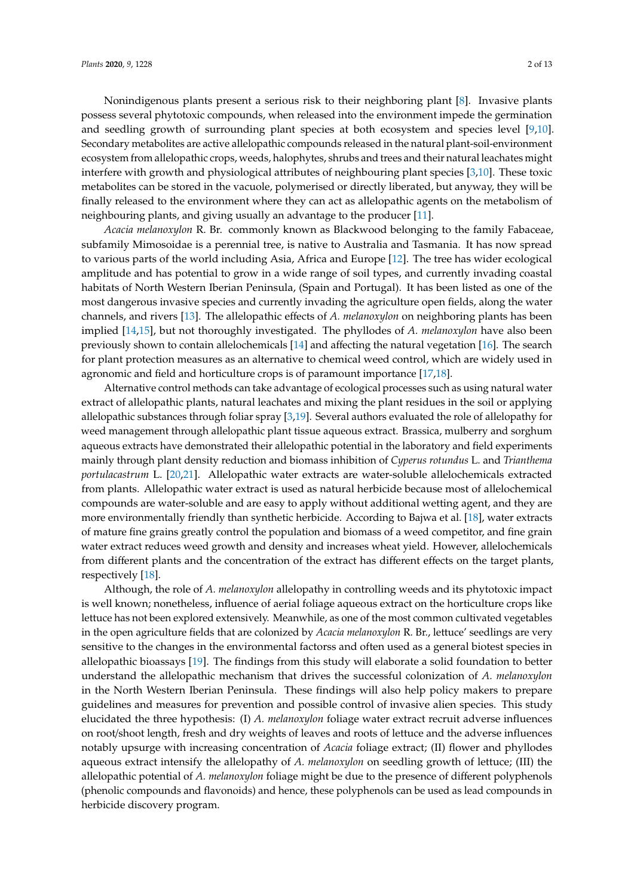Nonindigenous plants present a serious risk to their neighboring plant [\[8\]](#page-10-5). Invasive plants possess several phytotoxic compounds, when released into the environment impede the germination and seedling growth of surrounding plant species at both ecosystem and species level [\[9,](#page-10-6)[10\]](#page-10-7). Secondary metabolites are active allelopathic compounds released in the natural plant-soil-environment ecosystem from allelopathic crops, weeds, halophytes, shrubs and trees and their natural leachates might interfere with growth and physiological attributes of neighbouring plant species [\[3,](#page-10-2)[10\]](#page-10-7). These toxic metabolites can be stored in the vacuole, polymerised or directly liberated, but anyway, they will be finally released to the environment where they can act as allelopathic agents on the metabolism of neighbouring plants, and giving usually an advantage to the producer [\[11\]](#page-10-8).

*Acacia melanoxylon* R. Br. commonly known as Blackwood belonging to the family Fabaceae, subfamily Mimosoidae is a perennial tree, is native to Australia and Tasmania. It has now spread to various parts of the world including Asia, Africa and Europe [\[12\]](#page-10-9). The tree has wider ecological amplitude and has potential to grow in a wide range of soil types, and currently invading coastal habitats of North Western Iberian Peninsula, (Spain and Portugal). It has been listed as one of the most dangerous invasive species and currently invading the agriculture open fields, along the water channels, and rivers [\[13\]](#page-10-10). The allelopathic effects of *A. melanoxylon* on neighboring plants has been implied [\[14,](#page-10-11)[15\]](#page-10-12), but not thoroughly investigated. The phyllodes of *A. melanoxylon* have also been previously shown to contain allelochemicals [\[14\]](#page-10-11) and affecting the natural vegetation [\[16\]](#page-10-13). The search for plant protection measures as an alternative to chemical weed control, which are widely used in agronomic and field and horticulture crops is of paramount importance [\[17](#page-10-14)[,18\]](#page-10-15).

Alternative control methods can take advantage of ecological processes such as using natural water extract of allelopathic plants, natural leachates and mixing the plant residues in the soil or applying allelopathic substances through foliar spray [\[3](#page-10-2)[,19\]](#page-10-16). Several authors evaluated the role of allelopathy for weed management through allelopathic plant tissue aqueous extract. Brassica, mulberry and sorghum aqueous extracts have demonstrated their allelopathic potential in the laboratory and field experiments mainly through plant density reduction and biomass inhibition of *Cyperus rotundus* L. and *Trianthema portulacastrum* L. [\[20,](#page-10-17)[21\]](#page-10-18). Allelopathic water extracts are water-soluble allelochemicals extracted from plants. Allelopathic water extract is used as natural herbicide because most of allelochemical compounds are water-soluble and are easy to apply without additional wetting agent, and they are more environmentally friendly than synthetic herbicide. According to Bajwa et al. [\[18\]](#page-10-15), water extracts of mature fine grains greatly control the population and biomass of a weed competitor, and fine grain water extract reduces weed growth and density and increases wheat yield. However, allelochemicals from different plants and the concentration of the extract has different effects on the target plants, respectively [\[18\]](#page-10-15).

Although, the role of *A. melanoxylon* allelopathy in controlling weeds and its phytotoxic impact is well known; nonetheless, influence of aerial foliage aqueous extract on the horticulture crops like lettuce has not been explored extensively. Meanwhile, as one of the most common cultivated vegetables in the open agriculture fields that are colonized by *Acacia melanoxylon* R. Br., lettuce' seedlings are very sensitive to the changes in the environmental factorss and often used as a general biotest species in allelopathic bioassays [\[19\]](#page-10-16). The findings from this study will elaborate a solid foundation to better understand the allelopathic mechanism that drives the successful colonization of *A. melanoxylon* in the North Western Iberian Peninsula. These findings will also help policy makers to prepare guidelines and measures for prevention and possible control of invasive alien species. This study elucidated the three hypothesis: (I) *A. melanoxylon* foliage water extract recruit adverse influences on root/shoot length, fresh and dry weights of leaves and roots of lettuce and the adverse influences notably upsurge with increasing concentration of *Acacia* foliage extract; (II) flower and phyllodes aqueous extract intensify the allelopathy of *A. melanoxylon* on seedling growth of lettuce; (III) the allelopathic potential of *A. melanoxylon* foliage might be due to the presence of different polyphenols (phenolic compounds and flavonoids) and hence, these polyphenols can be used as lead compounds in herbicide discovery program.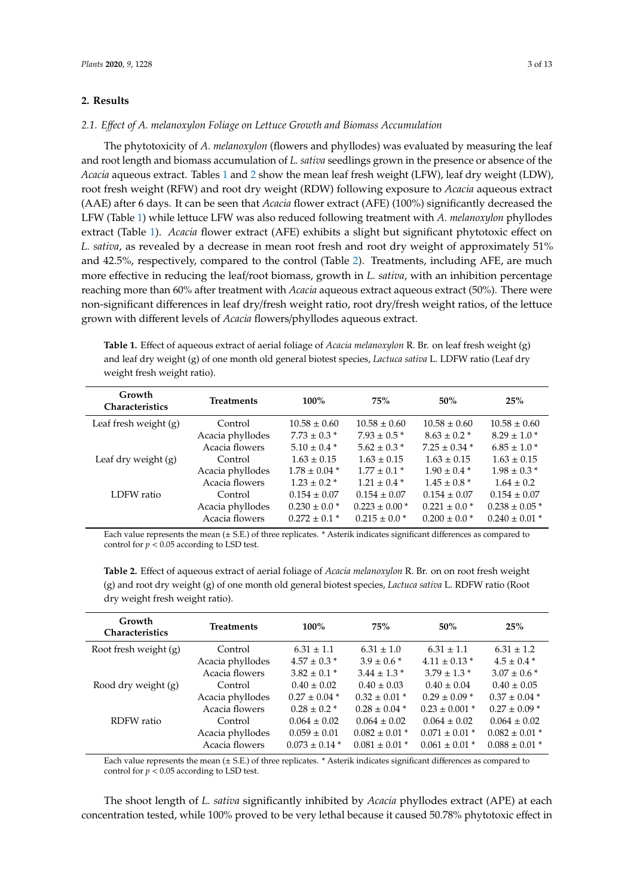# **2. Results**

# *2.1. E*ff*ect of A. melanoxylon Foliage on Lettuce Growth and Biomass Accumulation*

The phytotoxicity of *A. melanoxylon* (flowers and phyllodes) was evaluated by measuring the leaf and root length and biomass accumulation of *L. sativa* seedlings grown in the presence or absence of the *Acacia* aqueous extract. Tables [1](#page-2-0) and [2](#page-2-1) show the mean leaf fresh weight (LFW), leaf dry weight (LDW), root fresh weight (RFW) and root dry weight (RDW) following exposure to *Acacia* aqueous extract (AAE) after 6 days. It can be seen that *Acacia* flower extract (AFE) (100%) significantly decreased the LFW (Table [1\)](#page-2-0) while lettuce LFW was also reduced following treatment with *A. melanoxylon* phyllodes extract (Table [1\)](#page-2-0). *Acacia* flower extract (AFE) exhibits a slight but significant phytotoxic effect on *L. sativa*, as revealed by a decrease in mean root fresh and root dry weight of approximately 51% and 42.5%, respectively, compared to the control (Table [2\)](#page-2-1). Treatments, including AFE, are much more effective in reducing the leaf/root biomass, growth in *L. sativa*, with an inhibition percentage reaching more than 60% after treatment with *Acacia* aqueous extract aqueous extract (50%). There were non-significant differences in leaf dry/fresh weight ratio, root dry/fresh weight ratios, of the lettuce grown with different levels of *Acacia* flowers/phyllodes aqueous extract.

<span id="page-2-0"></span>**Table 1.** Effect of aqueous extract of aerial foliage of *Acacia melanoxylon* R. Br. on leaf fresh weight (g) and leaf dry weight (g) of one month old general biotest species, *Lactuca sativa* L. LDFW ratio (Leaf dry weight fresh weight ratio).

| Growth<br><b>Characteristics</b> | <b>Treatments</b> | $100\%$           | 75%               | 50%               | 25%                |
|----------------------------------|-------------------|-------------------|-------------------|-------------------|--------------------|
| Leaf fresh weight $(g)$          | Control           | $10.58 \pm 0.60$  | $10.58 \pm 0.60$  | $10.58 \pm 0.60$  | $10.58 \pm 0.60$   |
|                                  | Acacia phyllodes  | $7.73 \pm 0.3$ *  | $7.93 \pm 0.5$ *  | $8.63 \pm 0.2$ *  | $8.29 \pm 1.0$ *   |
|                                  | Acacia flowers    | $5.10 \pm 0.4*$   | $5.62 \pm 0.3$ *  | $7.25 \pm 0.34$ * | $6.85 \pm 1.0$ *   |
| Leaf dry weight (g)              | Control           | $1.63 \pm 0.15$   | $1.63 \pm 0.15$   | $1.63 \pm 0.15$   | $1.63 \pm 0.15$    |
|                                  | Acacia phyllodes  | $1.78 \pm 0.04$ * | $1.77 \pm 0.1$ *  | $1.90 \pm 0.4$ *  | $1.98 \pm 0.3$ *   |
|                                  | Acacia flowers    | $1.23 \pm 0.2$ *  | $1.21 \pm 0.4$ *  | $1.45 \pm 0.8$ *  | $1.64 \pm 0.2$     |
| LDFW ratio                       | Control           | $0.154 \pm 0.07$  | $0.154 \pm 0.07$  | $0.154 \pm 0.07$  | $0.154 \pm 0.07$   |
|                                  | Acacia phyllodes  | $0.230 \pm 0.0$ * | $0.223 \pm 0.00*$ | $0.221 \pm 0.0$ * | $0.238 \pm 0.05$ * |
|                                  | Acacia flowers    | $0.272 \pm 0.1$ * | $0.215 \pm 0.0*$  | $0.200 \pm 0.0$ * | $0.240 \pm 0.01$ * |

Each value represents the mean  $(\pm S.E.)$  of three replicates. \* Asterik indicates significant differences as compared to control for  $p < 0.05$  according to LSD test.

<span id="page-2-1"></span>**Table 2.** Effect of aqueous extract of aerial foliage of *Acacia melanoxylon* R. Br. on on root fresh weight (g) and root dry weight (g) of one month old general biotest species, *Lactuca sativa* L. RDFW ratio (Root dry weight fresh weight ratio).

| Growth<br>Characteristics | <b>Treatments</b> | $100\%$            | 75%                | $50\%$             | 25%                |
|---------------------------|-------------------|--------------------|--------------------|--------------------|--------------------|
| Root fresh weight (g)     | Control           | $6.31 \pm 1.1$     | $6.31 \pm 1.0$     | $6.31 \pm 1.1$     | $6.31 \pm 1.2$     |
|                           | Acacia phyllodes  | $4.57 \pm 0.3$ *   | $3.9 \pm 0.6*$     | $4.11 \pm 0.13$ *  | $4.5 \pm 0.4*$     |
|                           | Acacia flowers    | $3.82 \pm 0.1$ *   | $3.44 \pm 1.3$ *   | $3.79 \pm 1.3$ *   | $3.07 \pm 0.6$ *   |
| Rood dry weight (g)       | Control           | $0.40 \pm 0.02$    | $0.40 \pm 0.03$    | $0.40 \pm 0.04$    | $0.40 \pm 0.05$    |
|                           | Acacia phyllodes  | $0.27 \pm 0.04$ *  | $0.32 \pm 0.01$ *  | $0.29 \pm 0.09$ *  | $0.37 \pm 0.04$ *  |
|                           | Acacia flowers    | $0.28 \pm 0.2$ *   | $0.28 \pm 0.04$ *  | $0.23 \pm 0.001$ * | $0.27 \pm 0.09*$   |
| RDFW ratio                | Control           | $0.064 \pm 0.02$   | $0.064 \pm 0.02$   | $0.064 \pm 0.02$   | $0.064 \pm 0.02$   |
|                           | Acacia phyllodes  | $0.059 \pm 0.01$   | $0.082 \pm 0.01$ * | $0.071 \pm 0.01$ * | $0.082 \pm 0.01$ * |
|                           | Acacia flowers    | $0.073 \pm 0.14$ * | $0.081 \pm 0.01$ * | $0.061 \pm 0.01$ * | $0.088 \pm 0.01$ * |

Each value represents the mean  $(\pm S.E.)$  of three replicates. \* Asterik indicates significant differences as compared to control for  $p < 0.05$  according to LSD test.

The shoot length of *L. sativa* significantly inhibited by *Acacia* phyllodes extract (APE) at each concentration tested, while 100% proved to be very lethal because it caused 50.78% phytotoxic effect in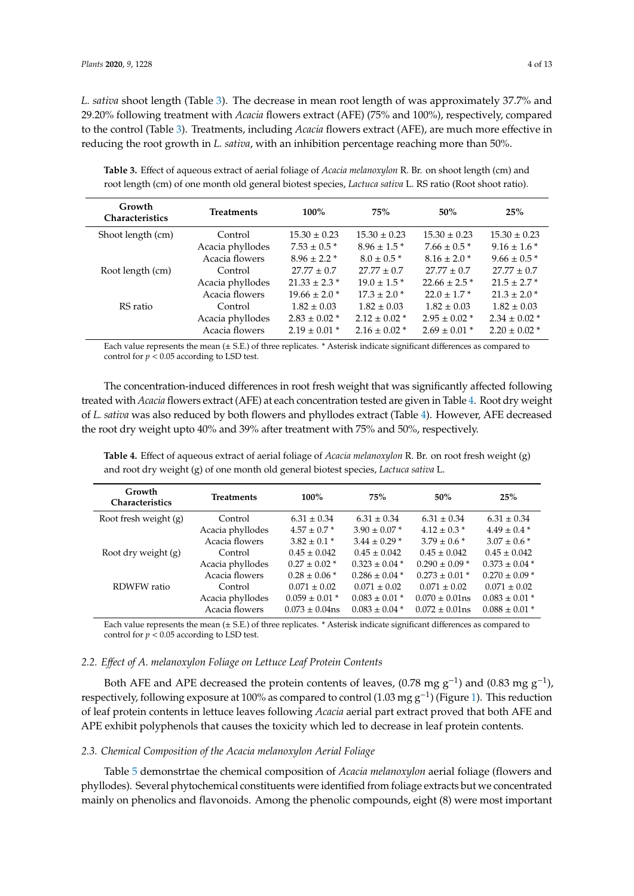*L. sativa* shoot length (Table [3\)](#page-3-0). The decrease in mean root length of was approximately 37.7% and 29.20% following treatment with *Acacia* flowers extract (AFE) (75% and 100%), respectively, compared to the control (Table [3\)](#page-3-0). Treatments, including *Acacia* flowers extract (AFE), are much more effective in reducing the root growth in *L. sativa*, with an inhibition percentage reaching more than 50%.

<span id="page-3-0"></span>**Table 3.** Effect of aqueous extract of aerial foliage of *Acacia melanoxylon* R. Br. on shoot length (cm) and root length (cm) of one month old general biotest species, *Lactuca sativa* L. RS ratio (Root shoot ratio).

| Growth<br><b>Characteristics</b> | <b>Treatments</b> | $100\%$           | 75%               | 50%                          | 25%                         |
|----------------------------------|-------------------|-------------------|-------------------|------------------------------|-----------------------------|
| Shoot length (cm)                | Control           | $15.30 \pm 0.23$  | $15.30 \pm 0.23$  | $15.30 \pm 0.23$             | $15.30 \pm 0.23$            |
|                                  | Acacia phyllodes  | $7.53 \pm 0.5$ *  | $8.96 \pm 1.5$ *  | $7.66 \pm 0.5*$              | $9.16 \pm 1.6*$             |
|                                  | Acacia flowers    | $8.96 \pm 2.2$ *  | $8.0 \pm 0.5*$    | $8.16 \pm 2.0*$              | $9.66 \pm 0.5$ <sup>*</sup> |
| Root length (cm)                 | Control           | $27.77 \pm 0.7$   | $27.77 \pm 0.7$   | $27.77 \pm 0.7$              | $27.77 \pm 0.7$             |
|                                  | Acacia phyllodes  | $21.33 \pm 2.3$ * | $19.0 \pm 1.5$ *  | $22.66 \pm 2.5$ <sup>*</sup> | $21.5 \pm 2.7$ *            |
|                                  | Acacia flowers    | $19.66 \pm 2.0*$  | $17.3 \pm 2.0$ *  | $22.0 \pm 1.7$ *             | $21.3 \pm 2.0$ *            |
| RS ratio                         | Control           | $1.82 \pm 0.03$   | $1.82 \pm 0.03$   | $1.82 \pm 0.03$              | $1.82 \pm 0.03$             |
|                                  | Acacia phyllodes  | $2.83 \pm 0.02$ * | $2.12 \pm 0.02$ * | $2.95 \pm 0.02$ *            | $2.34 \pm 0.02$ *           |
|                                  | Acacia flowers    | $2.19 \pm 0.01$ * | $2.16 \pm 0.02$ * | $2.69 \pm 0.01$ *            | $2.20 \pm 0.02$ *           |

Each value represents the mean  $(\pm S.E.)$  of three replicates. \* Asterisk indicate significant differences as compared to control for  $p < 0.05$  according to LSD test.

The concentration-induced differences in root fresh weight that was significantly affected following treated with *Acacia* flowers extract (AFE) at each concentration tested are given in Table [4.](#page-3-1) Root dry weight of *L. sativa* was also reduced by both flowers and phyllodes extract (Table [4\)](#page-3-1). However, AFE decreased the root dry weight upto 40% and 39% after treatment with 75% and 50%, respectively.

<span id="page-3-1"></span>**Table 4.** Effect of aqueous extract of aerial foliage of *Acacia melanoxylon* R. Br. on root fresh weight (g) and root dry weight (g) of one month old general biotest species, *Lactuca sativa* L.

| Growth<br><b>Characteristics</b> | <b>Treatments</b> | $100\%$             | 75%                | 50%                 | 25%                |
|----------------------------------|-------------------|---------------------|--------------------|---------------------|--------------------|
| Root fresh weight (g)            | Control           | $6.31 \pm 0.34$     | $6.31 \pm 0.34$    | $6.31 \pm 0.34$     | $6.31 \pm 0.34$    |
|                                  | Acacia phyllodes  | $4.57 \pm 0.7$ *    | $3.90 \pm 0.07$ *  | $4.12 \pm 0.3$ *    | $4.49 \pm 0.4$ *   |
|                                  | Acacia flowers    | $3.82 \pm 0.1$ *    | $3.44 \pm 0.29$ *  | $3.79 \pm 0.6*$     | $3.07 \pm 0.6$ *   |
| Root dry weight (g)              | Control           | $0.45 \pm 0.042$    | $0.45 \pm 0.042$   | $0.45 \pm 0.042$    | $0.45 \pm 0.042$   |
|                                  | Acacia phyllodes  | $0.27 \pm 0.02$ *   | $0.323 \pm 0.04$ * | $0.290 \pm 0.09$ *  | $0.373 \pm 0.04$ * |
|                                  | Acacia flowers    | $0.28 \pm 0.06*$    | $0.286 \pm 0.04$ * | $0.273 \pm 0.01$ *  | $0.270 \pm 0.09$ * |
| RDWFW ratio                      | Control           | $0.071 \pm 0.02$    | $0.071 \pm 0.02$   | $0.071 \pm 0.02$    | $0.071 \pm 0.02$   |
|                                  | Acacia phyllodes  | $0.059 \pm 0.01$ *  | $0.083 \pm 0.01$ * | $0.070 \pm 0.01$ ns | $0.083 \pm 0.01$ * |
|                                  | Acacia flowers    | $0.073 \pm 0.04$ ns | $0.083 \pm 0.04$ * | $0.072 \pm 0.01$ ns | $0.088 \pm 0.01$ * |

Each value represents the mean (± S.E.) of three replicates. \* Asterisk indicate significant differences as compared to control for  $p < 0.05$  according to LSD test.

## *2.2. E*ff*ect of A. melanoxylon Foliage on Lettuce Leaf Protein Contents*

Both AFE and APE decreased the protein contents of leaves, (0.78 mg  $g^{-1}$ ) and (0.83 mg  $g^{-1}$ ), respectively, following exposure at 100% as compared to control (1.03 mg g−<sup>1</sup> ) (Figure [1\)](#page-4-0). This reduction of leaf protein contents in lettuce leaves following *Acacia* aerial part extract proved that both AFE and APE exhibit polyphenols that causes the toxicity which led to decrease in leaf protein contents.

#### *2.3. Chemical Composition of the Acacia melanoxylon Aerial Foliage*

Table [5](#page-4-1) demonstrtae the chemical composition of *Acacia melanoxylon* aerial foliage (flowers and phyllodes). Several phytochemical constituents were identified from foliage extracts but we concentrated mainly on phenolics and flavonoids. Among the phenolic compounds, eight (8) were most important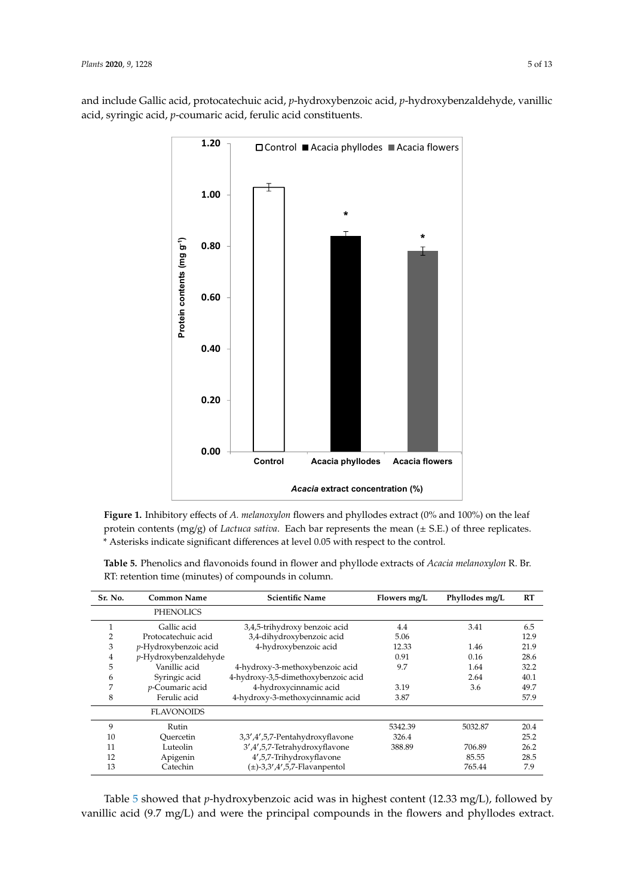<span id="page-4-0"></span>and include Gallic acid, protocatechuic acid, *p*-hydroxybenzoic acid, *p*-hydroxybenzaldehyde, vanillic acid, syringic acid, p-coumaric acid, ferulic acid constituents.





| Sr. No.        | <b>Common Name</b>       | <b>Scientific Name</b>              | Flowers mg/L | Phyllodes mg/L | RT   |
|----------------|--------------------------|-------------------------------------|--------------|----------------|------|
|                | <b>PHENOLICS</b>         |                                     |              |                |      |
| $\mathbf{1}$   | Gallic acid              | 3,4,5-trihydroxy benzoic acid       | 4.4          | 3.41           | 6.5  |
| $\overline{2}$ | Protocatechuic acid      | 3,4-dihydroxybenzoic acid           | 5.06         |                | 12.9 |
| 3              | p-Hydroxybenzoic acid    | 4-hydroxybenzoic acid               | 12.33        | 1.46           | 21.9 |
| 4              | $p$ -Hydroxybenzaldehyde |                                     | 0.91         | 0.16           | 28.6 |
| 5              | Vanillic acid            | 4-hydroxy-3-methoxybenzoic acid     | 9.7          | 1.64           | 32.2 |
| 6              | Syringic acid            | 4-hydroxy-3,5-dimethoxybenzoic acid |              | 2.64           | 40.1 |
| 7              | <i>p</i> -Coumaric acid  | 4-hydroxycinnamic acid              | 3.19         | 3.6            | 49.7 |
| 8              | Ferulic acid             | 4-hydroxy-3-methoxycinnamic acid    | 3.87         |                | 57.9 |
|                | <b>FLAVONOIDS</b>        |                                     |              |                |      |
| 9              | Rutin                    |                                     | 5342.39      | 5032.87        | 20.4 |
| 10             | Ouercetin                | 3,3',4',5,7-Pentahydroxyflavone     | 326.4        |                | 25.2 |
| 11             | Luteolin                 | 3',4',5,7-Tetrahydroxyflavone       | 388.89       | 706.89         | 26.2 |
| 12             | Apigenin                 | 4',5,7-Trihydroxyflavone            |              | 85.55          | 28.5 |
| 13             | Catechin                 | $(\pm)$ -3,3',4',5,7-Flavanpentol   |              | 765.44         | 7.9  |

<span id="page-4-1"></span>*2.3. Chemical Composition of the Acacia melanoxylon Aerial Foliage*  RT: retention time (minutes) of compounds in column. **Table 5.** Phenolics and flavonoids found in flower and phyllode extracts of *Acacia melanoxylon* R. Br.

Table 5 showed that *p*-h[yd](#page-4-1)roxybenzoic acid was in highest content (12.33 mg/L), followed by vanillic acid (9.7 mg/L) and were the principal compounds in the flowers and phyllodes extract.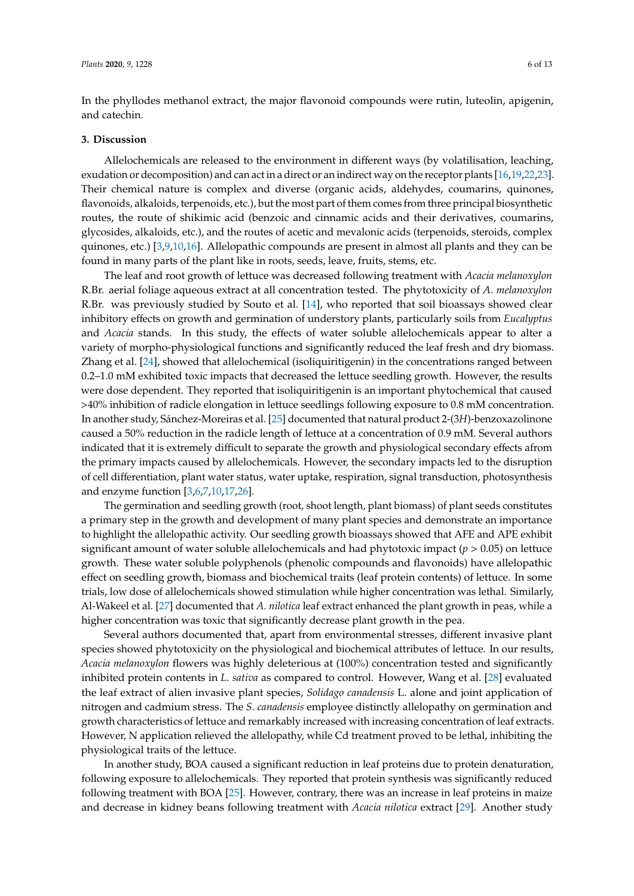In the phyllodes methanol extract, the major flavonoid compounds were rutin, luteolin, apigenin, and catechin.

### **3. Discussion**

Allelochemicals are released to the environment in different ways (by volatilisation, leaching, exudation or decomposition) and can act in a direct or an indirect way on the receptor plants [\[16,](#page-10-13)[19](#page-10-16)[,22](#page-10-19)[,23\]](#page-11-0). Their chemical nature is complex and diverse (organic acids, aldehydes, coumarins, quinones, flavonoids, alkaloids, terpenoids, etc.), but the most part of them comes from three principal biosynthetic routes, the route of shikimic acid (benzoic and cinnamic acids and their derivatives, coumarins, glycosides, alkaloids, etc.), and the routes of acetic and mevalonic acids (terpenoids, steroids, complex quinones, etc.) [\[3](#page-10-2)[,9](#page-10-6)[,10](#page-10-7)[,16\]](#page-10-13). Allelopathic compounds are present in almost all plants and they can be found in many parts of the plant like in roots, seeds, leave, fruits, stems, etc.

The leaf and root growth of lettuce was decreased following treatment with *Acacia melanoxylon* R.Br. aerial foliage aqueous extract at all concentration tested. The phytotoxicity of *A. melanoxylon* R.Br. was previously studied by Souto et al. [\[14\]](#page-10-11), who reported that soil bioassays showed clear inhibitory effects on growth and germination of understory plants, particularly soils from *Eucalyptus* and *Acacia* stands. In this study, the effects of water soluble allelochemicals appear to alter a variety of morpho-physiological functions and significantly reduced the leaf fresh and dry biomass. Zhang et al. [\[24\]](#page-11-1), showed that allelochemical (isoliquiritigenin) in the concentrations ranged between 0.2–1.0 mM exhibited toxic impacts that decreased the lettuce seedling growth. However, the results were dose dependent. They reported that isoliquiritigenin is an important phytochemical that caused >40% inhibition of radicle elongation in lettuce seedlings following exposure to 0.8 mM concentration. In another study, Sánchez-Moreiras et al. [\[25\]](#page-11-2) documented that natural product 2-(3*H*)-benzoxazolinone caused a 50% reduction in the radicle length of lettuce at a concentration of 0.9 mM. Several authors indicated that it is extremely difficult to separate the growth and physiological secondary effects afrom the primary impacts caused by allelochemicals. However, the secondary impacts led to the disruption of cell differentiation, plant water status, water uptake, respiration, signal transduction, photosynthesis and enzyme function [\[3](#page-10-2)[,6,](#page-10-20)[7,](#page-10-4)[10,](#page-10-7)[17,](#page-10-14)[26\]](#page-11-3).

The germination and seedling growth (root, shoot length, plant biomass) of plant seeds constitutes a primary step in the growth and development of many plant species and demonstrate an importance to highlight the allelopathic activity. Our seedling growth bioassays showed that AFE and APE exhibit significant amount of water soluble allelochemicals and had phytotoxic impact (*p* > 0.05) on lettuce growth. These water soluble polyphenols (phenolic compounds and flavonoids) have allelopathic effect on seedling growth, biomass and biochemical traits (leaf protein contents) of lettuce. In some trials, low dose of allelochemicals showed stimulation while higher concentration was lethal. Similarly, Al-Wakeel et al. [\[27\]](#page-11-4) documented that *A. nilotica* leaf extract enhanced the plant growth in peas, while a higher concentration was toxic that significantly decrease plant growth in the pea.

Several authors documented that, apart from environmental stresses, different invasive plant species showed phytotoxicity on the physiological and biochemical attributes of lettuce. In our results, *Acacia melanoxylon* flowers was highly deleterious at (100%) concentration tested and significantly inhibited protein contents in *L. sativa* as compared to control. However, Wang et al. [\[28\]](#page-11-5) evaluated the leaf extract of alien invasive plant species, *Solidago canadensis* L. alone and joint application of nitrogen and cadmium stress. The *S. canadensis* employee distinctly allelopathy on germination and growth characteristics of lettuce and remarkably increased with increasing concentration of leaf extracts. However, N application relieved the allelopathy, while Cd treatment proved to be lethal, inhibiting the physiological traits of the lettuce.

In another study, BOA caused a significant reduction in leaf proteins due to protein denaturation, following exposure to allelochemicals. They reported that protein synthesis was significantly reduced following treatment with BOA [\[25\]](#page-11-2). However, contrary, there was an increase in leaf proteins in maize and decrease in kidney beans following treatment with *Acacia nilotica* extract [\[29\]](#page-11-6). Another study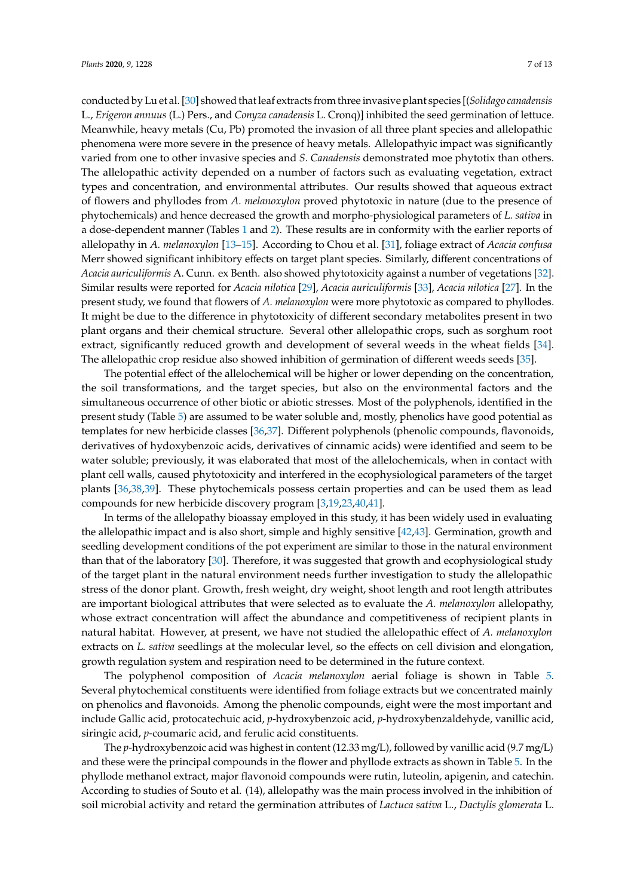conducted by Lu et al. [\[30\]](#page-11-7) showed that leaf extracts from three invasive plant species [(*Solidago canadensis* L., *Erigeron annuus* (L.) Pers., and *Conyza canadensis* L. Cronq)] inhibited the seed germination of lettuce. Meanwhile, heavy metals (Cu, Pb) promoted the invasion of all three plant species and allelopathic phenomena were more severe in the presence of heavy metals. Allelopathyic impact was significantly varied from one to other invasive species and *S. Canadensis* demonstrated moe phytotix than others. The allelopathic activity depended on a number of factors such as evaluating vegetation, extract types and concentration, and environmental attributes. Our results showed that aqueous extract of flowers and phyllodes from *A. melanoxylon* proved phytotoxic in nature (due to the presence of phytochemicals) and hence decreased the growth and morpho-physiological parameters of *L. sativa* in a dose-dependent manner (Tables [1](#page-2-0) and [2\)](#page-2-1). These results are in conformity with the earlier reports of allelopathy in *A. melanoxylon* [\[13–](#page-10-10)[15\]](#page-10-12). According to Chou et al. [\[31\]](#page-11-8), foliage extract of *Acacia confusa* Merr showed significant inhibitory effects on target plant species. Similarly, different concentrations of *Acacia auriculiformis* A. Cunn. ex Benth. also showed phytotoxicity against a number of vegetations [\[32\]](#page-11-9). Similar results were reported for *Acacia nilotica* [\[29\]](#page-11-6), *Acacia auriculiformis* [\[33\]](#page-11-10), *Acacia nilotica* [\[27\]](#page-11-4). In the present study, we found that flowers of *A. melanoxylon* were more phytotoxic as compared to phyllodes. It might be due to the difference in phytotoxicity of different secondary metabolites present in two plant organs and their chemical structure. Several other allelopathic crops, such as sorghum root extract, significantly reduced growth and development of several weeds in the wheat fields [\[34\]](#page-11-11). The allelopathic crop residue also showed inhibition of germination of different weeds seeds [\[35\]](#page-11-12).

The potential effect of the allelochemical will be higher or lower depending on the concentration, the soil transformations, and the target species, but also on the environmental factors and the simultaneous occurrence of other biotic or abiotic stresses. Most of the polyphenols, identified in the present study (Table [5\)](#page-4-1) are assumed to be water soluble and, mostly, phenolics have good potential as templates for new herbicide classes [\[36](#page-11-13)[,37\]](#page-11-14). Different polyphenols (phenolic compounds, flavonoids, derivatives of hydoxybenzoic acids, derivatives of cinnamic acids) were identified and seem to be water soluble; previously, it was elaborated that most of the allelochemicals, when in contact with plant cell walls, caused phytotoxicity and interfered in the ecophysiological parameters of the target plants [\[36,](#page-11-13)[38,](#page-11-15)[39\]](#page-11-16). These phytochemicals possess certain properties and can be used them as lead compounds for new herbicide discovery program [\[3,](#page-10-2)[19](#page-10-16)[,23](#page-11-0)[,40](#page-11-17)[,41\]](#page-11-18).

In terms of the allelopathy bioassay employed in this study, it has been widely used in evaluating the allelopathic impact and is also short, simple and highly sensitive [\[42,](#page-11-19)[43\]](#page-11-20). Germination, growth and seedling development conditions of the pot experiment are similar to those in the natural environment than that of the laboratory [\[30\]](#page-11-7). Therefore, it was suggested that growth and ecophysiological study of the target plant in the natural environment needs further investigation to study the allelopathic stress of the donor plant. Growth, fresh weight, dry weight, shoot length and root length attributes are important biological attributes that were selected as to evaluate the *A. melanoxylon* allelopathy, whose extract concentration will affect the abundance and competitiveness of recipient plants in natural habitat. However, at present, we have not studied the allelopathic effect of *A. melanoxylon* extracts on *L. sativa* seedlings at the molecular level, so the effects on cell division and elongation, growth regulation system and respiration need to be determined in the future context.

The polyphenol composition of *Acacia melanoxylon* aerial foliage is shown in Table [5.](#page-4-1) Several phytochemical constituents were identified from foliage extracts but we concentrated mainly on phenolics and flavonoids. Among the phenolic compounds, eight were the most important and include Gallic acid, protocatechuic acid, *p*-hydroxybenzoic acid, *p*-hydroxybenzaldehyde, vanillic acid, siringic acid, *p*-coumaric acid, and ferulic acid constituents.

The *p*-hydroxybenzoic acid was highest in content (12.33 mg/L), followed by vanillic acid (9.7 mg/L) and these were the principal compounds in the flower and phyllode extracts as shown in Table [5.](#page-4-1) In the phyllode methanol extract, major flavonoid compounds were rutin, luteolin, apigenin, and catechin. According to studies of Souto et al. (14), allelopathy was the main process involved in the inhibition of soil microbial activity and retard the germination attributes of *Lactuca sativa* L., *Dactylis glomerata* L.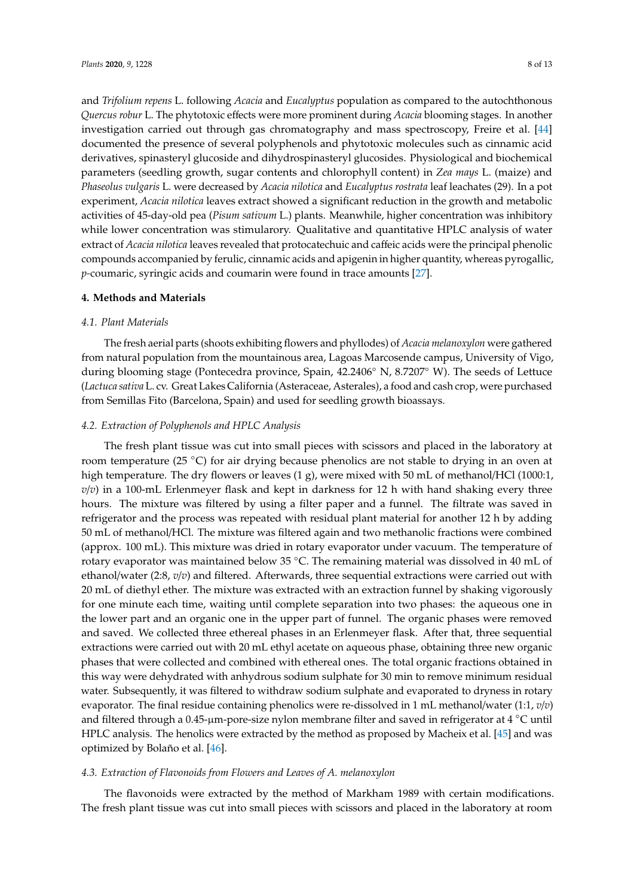and *Trifolium repens* L. following *Acacia* and *Eucalyptus* population as compared to the autochthonous *Quercus robur* L. The phytotoxic effects were more prominent during *Acacia* blooming stages. In another investigation carried out through gas chromatography and mass spectroscopy, Freire et al. [\[44\]](#page-11-21) documented the presence of several polyphenols and phytotoxic molecules such as cinnamic acid derivatives, spinasteryl glucoside and dihydrospinasteryl glucosides. Physiological and biochemical parameters (seedling growth, sugar contents and chlorophyll content) in *Zea mays* L. (maize) and *Phaseolus vulgaris* L. were decreased by *Acacia nilotica* and *Eucalyptus rostrata* leaf leachates (29). In a pot experiment, *Acacia nilotica* leaves extract showed a significant reduction in the growth and metabolic activities of 45-day-old pea (*Pisum sativum* L.) plants. Meanwhile, higher concentration was inhibitory while lower concentration was stimularory. Qualitative and quantitative HPLC analysis of water extract of *Acacia nilotica* leaves revealed that protocatechuic and caffeic acids were the principal phenolic compounds accompanied by ferulic, cinnamic acids and apigenin in higher quantity, whereas pyrogallic, *p-*coumaric, syringic acids and coumarin were found in trace amounts [\[27\]](#page-11-4).

#### **4. Methods and Materials**

# *4.1. Plant Materials*

The fresh aerial parts (shoots exhibiting flowers and phyllodes) of *Acacia melanoxylon* were gathered from natural population from the mountainous area, Lagoas Marcosende campus, University of Vigo, during blooming stage (Pontecedra province, Spain, 42.2406◦ N, 8.7207◦ W). The seeds of Lettuce (*Lactuca sativa* L. cv. Great Lakes California (Asteraceae, Asterales), a food and cash crop, were purchased from Semillas Fito (Barcelona, Spain) and used for seedling growth bioassays.

#### *4.2. Extraction of Polyphenols and HPLC Analysis*

The fresh plant tissue was cut into small pieces with scissors and placed in the laboratory at room temperature (25 ◦C) for air drying because phenolics are not stable to drying in an oven at high temperature. The dry flowers or leaves (1 g), were mixed with 50 mL of methanol/HCl (1000:1,  $v/v$ ) in a 100-mL Erlenmeyer flask and kept in darkness for 12 h with hand shaking every three hours. The mixture was filtered by using a filter paper and a funnel. The filtrate was saved in refrigerator and the process was repeated with residual plant material for another 12 h by adding 50 mL of methanol/HCl. The mixture was filtered again and two methanolic fractions were combined (approx. 100 mL). This mixture was dried in rotary evaporator under vacuum. The temperature of rotary evaporator was maintained below 35 ℃. The remaining material was dissolved in 40 mL of ethanol/water (2:8, *v*/*v*) and filtered. Afterwards, three sequential extractions were carried out with 20 mL of diethyl ether. The mixture was extracted with an extraction funnel by shaking vigorously for one minute each time, waiting until complete separation into two phases: the aqueous one in the lower part and an organic one in the upper part of funnel. The organic phases were removed and saved. We collected three ethereal phases in an Erlenmeyer flask. After that, three sequential extractions were carried out with 20 mL ethyl acetate on aqueous phase, obtaining three new organic phases that were collected and combined with ethereal ones. The total organic fractions obtained in this way were dehydrated with anhydrous sodium sulphate for 30 min to remove minimum residual water. Subsequently, it was filtered to withdraw sodium sulphate and evaporated to dryness in rotary evaporator. The final residue containing phenolics were re-dissolved in 1 mL methanol/water (1:1, *v*/*v*) and filtered through a 0.45-µm-pore-size nylon membrane filter and saved in refrigerator at 4 ◦C until HPLC analysis. The henolics were extracted by the method as proposed by Macheix et al. [\[45\]](#page-11-22) and was optimized by Bolaño et al. [\[46\]](#page-12-0).

#### *4.3. Extraction of Flavonoids from Flowers and Leaves of A. melanoxylon*

The flavonoids were extracted by the method of Markham 1989 with certain modifications. The fresh plant tissue was cut into small pieces with scissors and placed in the laboratory at room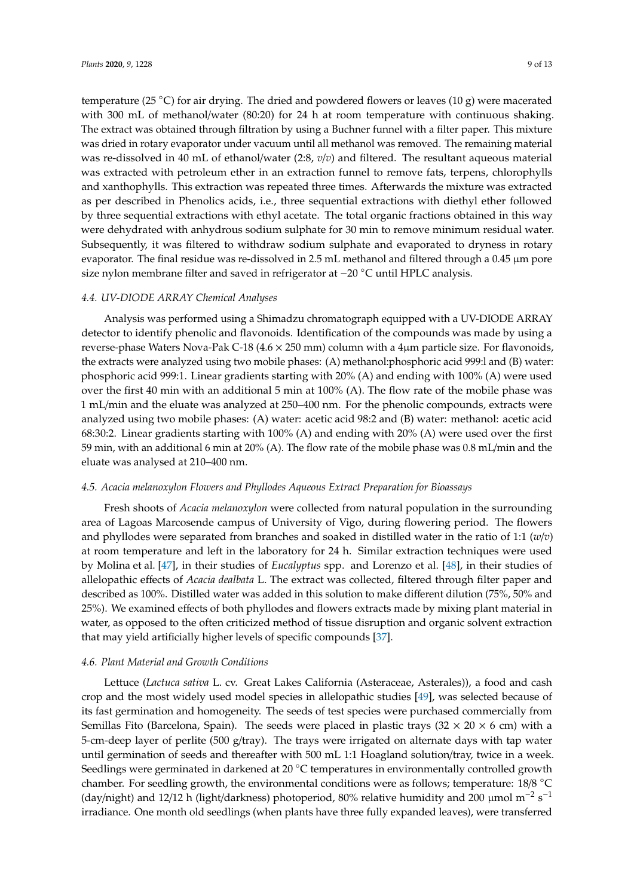temperature (25 °C) for air drying. The dried and powdered flowers or leaves (10 g) were macerated with 300 mL of methanol/water (80:20) for 24 h at room temperature with continuous shaking. The extract was obtained through filtration by using a Buchner funnel with a filter paper. This mixture was dried in rotary evaporator under vacuum until all methanol was removed. The remaining material was re-dissolved in 40 mL of ethanol/water (2:8,  $v/v$ ) and filtered. The resultant aqueous material was extracted with petroleum ether in an extraction funnel to remove fats, terpens, chlorophylls and xanthophylls. This extraction was repeated three times. Afterwards the mixture was extracted as per described in Phenolics acids, i.e., three sequential extractions with diethyl ether followed by three sequential extractions with ethyl acetate. The total organic fractions obtained in this way were dehydrated with anhydrous sodium sulphate for 30 min to remove minimum residual water. Subsequently, it was filtered to withdraw sodium sulphate and evaporated to dryness in rotary evaporator. The final residue was re-dissolved in 2.5 mL methanol and filtered through a 0.45 µm pore size nylon membrane filter and saved in refrigerator at −20 ◦C until HPLC analysis.

#### *4.4. UV-DIODE ARRAY Chemical Analyses*

Analysis was performed using a Shimadzu chromatograph equipped with a UV-DIODE ARRAY detector to identify phenolic and flavonoids. Identification of the compounds was made by using a reverse-phase Waters Nova-Pak C-18 (4.6  $\times$  250 mm) column with a 4 $\mu$ m particle size. For flavonoids, the extracts were analyzed using two mobile phases: (A) methanol:phosphoric acid 999:l and (B) water: phosphoric acid 999:1. Linear gradients starting with 20% (A) and ending with 100% (A) were used over the first 40 min with an additional 5 min at 100% (A). The flow rate of the mobile phase was 1 mL/min and the eluate was analyzed at 250–400 nm. For the phenolic compounds, extracts were analyzed using two mobile phases: (A) water: acetic acid 98:2 and (B) water: methanol: acetic acid 68:30:2. Linear gradients starting with 100% (A) and ending with 20% (A) were used over the first 59 min, with an additional 6 min at 20% (A). The flow rate of the mobile phase was 0.8 mL/min and the eluate was analysed at 210–400 nm.

#### *4.5. Acacia melanoxylon Flowers and Phyllodes Aqueous Extract Preparation for Bioassays*

Fresh shoots of *Acacia melanoxylon* were collected from natural population in the surrounding area of Lagoas Marcosende campus of University of Vigo, during flowering period. The flowers and phyllodes were separated from branches and soaked in distilled water in the ratio of 1:1 (*w*/*v*) at room temperature and left in the laboratory for 24 h. Similar extraction techniques were used by Molina et al. [\[47\]](#page-12-1), in their studies of *Eucalyptus* spp. and Lorenzo et al. [\[48\]](#page-12-2), in their studies of allelopathic effects of *Acacia dealbata* L. The extract was collected, filtered through filter paper and described as 100%. Distilled water was added in this solution to make different dilution (75%, 50% and 25%). We examined effects of both phyllodes and flowers extracts made by mixing plant material in water, as opposed to the often criticized method of tissue disruption and organic solvent extraction that may yield artificially higher levels of specific compounds [\[37\]](#page-11-14).

#### *4.6. Plant Material and Growth Conditions*

Lettuce (*Lactuca sativa* L. cv. Great Lakes California (Asteraceae, Asterales)), a food and cash crop and the most widely used model species in allelopathic studies [\[49\]](#page-12-3), was selected because of its fast germination and homogeneity. The seeds of test species were purchased commercially from Semillas Fito (Barcelona, Spain). The seeds were placed in plastic trays (32  $\times$  20  $\times$  6 cm) with a 5-cm-deep layer of perlite (500 g/tray). The trays were irrigated on alternate days with tap water until germination of seeds and thereafter with 500 mL 1:1 Hoagland solution/tray, twice in a week. Seedlings were germinated in darkened at 20 ◦C temperatures in environmentally controlled growth chamber. For seedling growth, the environmental conditions were as follows; temperature: 18/8 °C (day/night) and 12/12 h (light/darkness) photoperiod, 80% relative humidity and 200 µmol m<sup>-2</sup> s<sup>-1</sup> irradiance. One month old seedlings (when plants have three fully expanded leaves), were transferred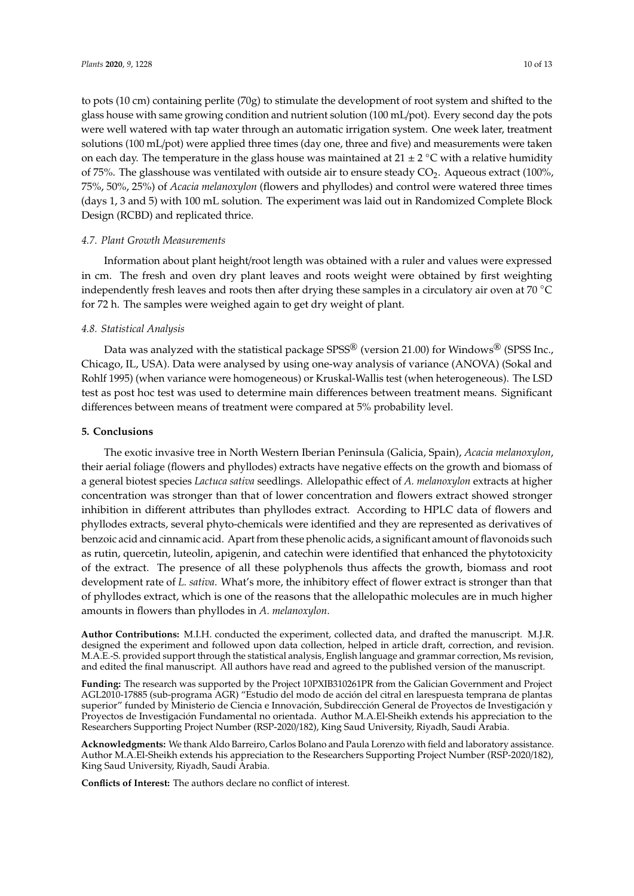to pots (10 cm) containing perlite (70g) to stimulate the development of root system and shifted to the glass house with same growing condition and nutrient solution (100 mL/pot). Every second day the pots were well watered with tap water through an automatic irrigation system. One week later, treatment solutions (100 mL/pot) were applied three times (day one, three and five) and measurements were taken on each day. The temperature in the glass house was maintained at  $21 \pm 2$  °C with a relative humidity of 75%. The glasshouse was ventilated with outside air to ensure steady  $CO<sub>2</sub>$ . Aqueous extract (100%, 75%, 50%, 25%) of *Acacia melanoxylon* (flowers and phyllodes) and control were watered three times (days 1, 3 and 5) with 100 mL solution. The experiment was laid out in Randomized Complete Block Design (RCBD) and replicated thrice.

#### *4.7. Plant Growth Measurements*

Information about plant height/root length was obtained with a ruler and values were expressed in cm. The fresh and oven dry plant leaves and roots weight were obtained by first weighting independently fresh leaves and roots then after drying these samples in a circulatory air oven at 70 ◦C for 72 h. The samples were weighed again to get dry weight of plant.

#### *4.8. Statistical Analysis*

Data was analyzed with the statistical package SPSS® (version 21.00) for Windows® (SPSS Inc., Chicago, IL, USA). Data were analysed by using one-way analysis of variance (ANOVA) (Sokal and Rohlf 1995) (when variance were homogeneous) or Kruskal-Wallis test (when heterogeneous). The LSD test as post hoc test was used to determine main differences between treatment means. Significant differences between means of treatment were compared at 5% probability level.

#### **5. Conclusions**

The exotic invasive tree in North Western Iberian Peninsula (Galicia, Spain), *Acacia melanoxylon*, their aerial foliage (flowers and phyllodes) extracts have negative effects on the growth and biomass of a general biotest species *Lactuca sativa* seedlings. Allelopathic effect of *A. melanoxylon* extracts at higher concentration was stronger than that of lower concentration and flowers extract showed stronger inhibition in different attributes than phyllodes extract. According to HPLC data of flowers and phyllodes extracts, several phyto-chemicals were identified and they are represented as derivatives of benzoic acid and cinnamic acid. Apart from these phenolic acids, a significant amount of flavonoids such as rutin, quercetin, luteolin, apigenin, and catechin were identified that enhanced the phytotoxicity of the extract. The presence of all these polyphenols thus affects the growth, biomass and root development rate of *L. sativa*. What's more, the inhibitory effect of flower extract is stronger than that of phyllodes extract, which is one of the reasons that the allelopathic molecules are in much higher amounts in flowers than phyllodes in *A. melanoxylon*.

**Author Contributions:** M.I.H. conducted the experiment, collected data, and drafted the manuscript. M.J.R. designed the experiment and followed upon data collection, helped in article draft, correction, and revision. M.A.E.-S. provided support through the statistical analysis, English language and grammar correction, Ms revision, and edited the final manuscript. All authors have read and agreed to the published version of the manuscript.

**Funding:** The research was supported by the Project 10PXIB310261PR from the Galician Government and Project AGL2010-17885 (sub-programa AGR) "Estudio del modo de acción del citral en larespuesta temprana de plantas superior" funded by Ministerio de Ciencia e Innovación, Subdirección General de Proyectos de Investigación y Proyectos de Investigación Fundamental no orientada. Author M.A.El-Sheikh extends his appreciation to the Researchers Supporting Project Number (RSP-2020/182), King Saud University, Riyadh, Saudi Arabia.

**Acknowledgments:** We thank Aldo Barreiro, Carlos Bolano and Paula Lorenzo with field and laboratory assistance. Author M.A.El-Sheikh extends his appreciation to the Researchers Supporting Project Number (RSP-2020/182), King Saud University, Riyadh, Saudi Arabia.

**Conflicts of Interest:** The authors declare no conflict of interest.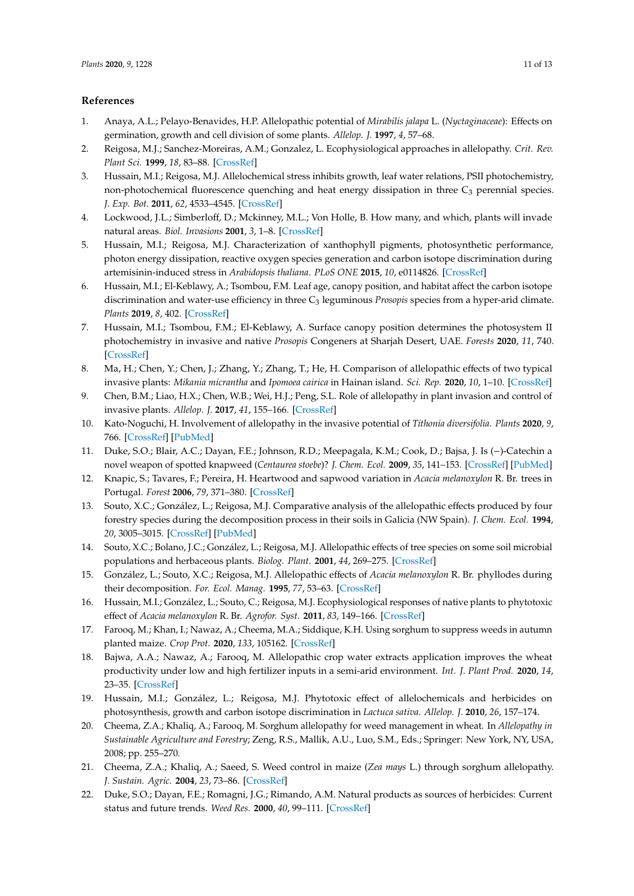# **References**

- <span id="page-10-0"></span>1. Anaya, A.L.; Pelayo-Benavides, H.P. Allelopathic potential of *Mirabilis jalapa* L. (*Nyctaginaceae*): Effects on germination, growth and cell division of some plants. *Allelop. J.* **1997**, *4*, 57–68.
- <span id="page-10-1"></span>2. Reigosa, M.J.; Sanchez-Moreiras, A.M.; Gonzalez, L. Ecophysiological approaches in allelopathy. *Crit. Rev. Plant Sci.* **1999**, *18*, 83–88. [\[CrossRef\]](http://dx.doi.org/10.1080/07352689991309405)
- <span id="page-10-2"></span>3. Hussain, M.I.; Reigosa, M.J. Allelochemical stress inhibits growth, leaf water relations, PSII photochemistry, non-photochemical fluorescence quenching and heat energy dissipation in three  $C_3$  perennial species. *J. Exp. Bot.* **2011**, *62*, 4533–4545. [\[CrossRef\]](http://dx.doi.org/10.1093/jxb/err161)
- <span id="page-10-3"></span>4. Lockwood, J.L.; Simberloff, D.; Mckinney, M.L.; Von Holle, B. How many, and which, plants will invade natural areas. *Biol. Invasions* **2001**, *3*, 1–8. [\[CrossRef\]](http://dx.doi.org/10.1023/A:1011412820174)
- 5. Hussain, M.I.; Reigosa, M.J. Characterization of xanthophyll pigments, photosynthetic performance, photon energy dissipation, reactive oxygen species generation and carbon isotope discrimination during artemisinin-induced stress in *Arabidopsis thaliana*. *PLoS ONE* **2015**, *10*, e0114826. [\[CrossRef\]](http://dx.doi.org/10.1371/journal.pone.0114826)
- <span id="page-10-20"></span>6. Hussain, M.I.; El-Keblawy, A.; Tsombou, F.M. Leaf age, canopy position, and habitat affect the carbon isotope discrimination and water-use efficiency in three  ${\sf C}_3$  leguminous  ${\it Prosopi}$  species from a hyper-arid climate. *Plants* **2019**, *8*, 402. [\[CrossRef\]](http://dx.doi.org/10.3390/plants8100402)
- <span id="page-10-4"></span>7. Hussain, M.I.; Tsombou, F.M.; El-Keblawy, A. Surface canopy position determines the photosystem II photochemistry in invasive and native *Prosopis* Congeners at Sharjah Desert, UAE. *Forests* **2020**, *11*, 740. [\[CrossRef\]](http://dx.doi.org/10.3390/f11070740)
- <span id="page-10-5"></span>8. Ma, H.; Chen, Y.; Chen, J.; Zhang, Y.; Zhang, T.; He, H. Comparison of allelopathic effects of two typical invasive plants: *Mikania micrantha* and *Ipomoea cairica* in Hainan island. *Sci. Rep.* **2020**, *10*, 1–10. [\[CrossRef\]](http://dx.doi.org/10.1038/s41598-020-68234-5)
- <span id="page-10-6"></span>9. Chen, B.M.; Liao, H.X.; Chen, W.B.; Wei, H.J.; Peng, S.L. Role of allelopathy in plant invasion and control of invasive plants. *Allelop. J.* **2017**, *41*, 155–166. [\[CrossRef\]](http://dx.doi.org/10.26651/2017-41-2-1092)
- <span id="page-10-7"></span>10. Kato-Noguchi, H. Involvement of allelopathy in the invasive potential of *Tithonia diversifolia*. *Plants* **2020**, *9*, 766. [\[CrossRef\]](http://dx.doi.org/10.3390/plants9060766) [\[PubMed\]](http://www.ncbi.nlm.nih.gov/pubmed/32575408)
- <span id="page-10-8"></span>11. Duke, S.O.; Blair, A.C.; Dayan, F.E.; Johnson, R.D.; Meepagala, K.M.; Cook, D.; Bajsa, J. Is (−)-Catechin a novel weapon of spotted knapweed (*Centaurea stoebe*)? *J. Chem. Ecol.* **2009**, *35*, 141–153. [\[CrossRef\]](http://dx.doi.org/10.1007/s10886-008-9587-z) [\[PubMed\]](http://www.ncbi.nlm.nih.gov/pubmed/19816095)
- <span id="page-10-9"></span>12. Knapic, S.; Tavares, F.; Pereira, H. Heartwood and sapwood variation in *Acacia melanoxylon* R. Br. trees in Portugal. *Forest* **2006**, *79*, 371–380. [\[CrossRef\]](http://dx.doi.org/10.1093/forestry/cpl010)
- <span id="page-10-10"></span>13. Souto, X.C.; González, L.; Reigosa, M.J. Comparative analysis of the allelopathic effects produced by four forestry species during the decomposition process in their soils in Galicia (NW Spain). *J. Chem. Ecol.* **1994**, *20*, 3005–3015. [\[CrossRef\]](http://dx.doi.org/10.1007/BF02098405) [\[PubMed\]](http://www.ncbi.nlm.nih.gov/pubmed/24241931)
- <span id="page-10-11"></span>14. Souto, X.C.; Bolano, J.C.; González, L.; Reigosa, M.J. Allelopathic effects of tree species on some soil microbial populations and herbaceous plants. *Biolog. Plant.* **2001**, *44*, 269–275. [\[CrossRef\]](http://dx.doi.org/10.1023/A:1010259627812)
- <span id="page-10-12"></span>15. González, L.; Souto, X.C.; Reigosa, M.J. Allelopathic effects of *Acacia melanoxylon* R. Br. phyllodes during their decomposition. *For. Ecol. Manag.* **1995**, *77*, 53–63. [\[CrossRef\]](http://dx.doi.org/10.1016/0378-1127(95)03581-T)
- <span id="page-10-13"></span>16. Hussain, M.I.; González, L.; Souto, C.; Reigosa, M.J. Ecophysiological responses of native plants to phytotoxic effect of *Acacia melanoxylon* R. Br. *Agrofor. Syst.* **2011**, *83*, 149–166. [\[CrossRef\]](http://dx.doi.org/10.1007/s10457-011-9433-0)
- <span id="page-10-14"></span>17. Farooq, M.; Khan, I.; Nawaz, A.; Cheema, M.A.; Siddique, K.H. Using sorghum to suppress weeds in autumn planted maize. *Crop Prot.* **2020**, *133*, 105162. [\[CrossRef\]](http://dx.doi.org/10.1016/j.cropro.2020.105162)
- <span id="page-10-15"></span>18. Bajwa, A.A.; Nawaz, A.; Farooq, M. Allelopathic crop water extracts application improves the wheat productivity under low and high fertilizer inputs in a semi-arid environment. *Int. J. Plant Prod.* **2020**, *14*, 23–35. [\[CrossRef\]](http://dx.doi.org/10.1007/s42106-019-00064-6)
- <span id="page-10-16"></span>19. Hussain, M.I.; González, L.; Reigosa, M.J. Phytotoxic effect of allelochemicals and herbicides on photosynthesis, growth and carbon isotope discrimination in *Lactuca sativa*. *Allelop. J.* **2010**, *26*, 157–174.
- <span id="page-10-17"></span>20. Cheema, Z.A.; Khaliq, A.; Farooq, M. Sorghum allelopathy for weed management in wheat. In *Allelopathy in Sustainable Agriculture and Forestry*; Zeng, R.S., Mallik, A.U., Luo, S.M., Eds.; Springer: New York, NY, USA, 2008; pp. 255–270.
- <span id="page-10-18"></span>21. Cheema, Z.A.; Khaliq, A.; Saeed, S. Weed control in maize (*Zea mays* L.) through sorghum allelopathy. *J. Sustain. Agric.* **2004**, *23*, 73–86. [\[CrossRef\]](http://dx.doi.org/10.1300/J064v23n04_07)
- <span id="page-10-19"></span>22. Duke, S.O.; Dayan, F.E.; Romagni, J.G.; Rimando, A.M. Natural products as sources of herbicides: Current status and future trends. *Weed Res.* **2000**, *40*, 99–111. [\[CrossRef\]](http://dx.doi.org/10.1046/j.1365-3180.2000.00161.x)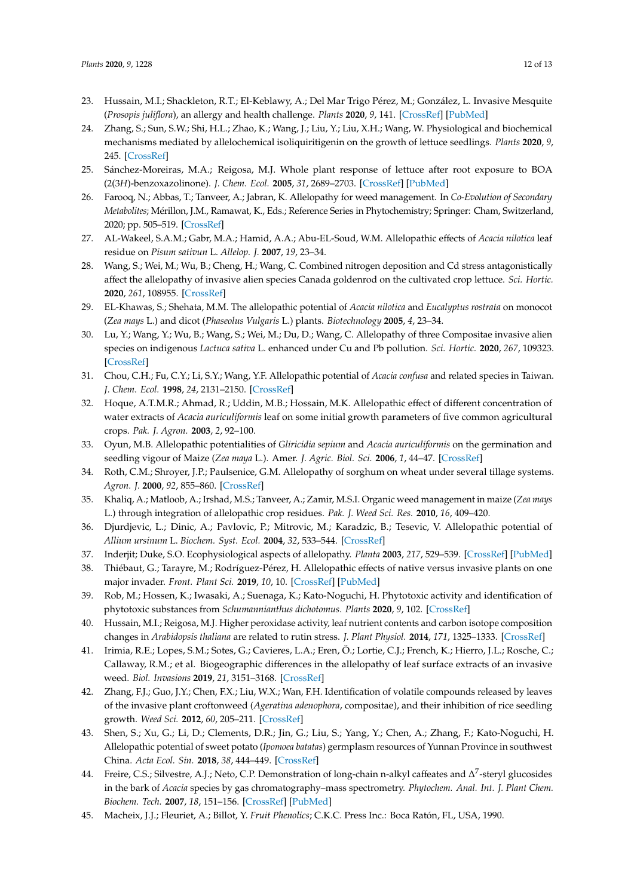- <span id="page-11-0"></span>23. Hussain, M.I.; Shackleton, R.T.; El-Keblawy, A.; Del Mar Trigo Pérez, M.; González, L. Invasive Mesquite (*Prosopis juliflora*), an allergy and health challenge. *Plants* **2020**, *9*, 141. [\[CrossRef\]](http://dx.doi.org/10.3390/plants9020141) [\[PubMed\]](http://www.ncbi.nlm.nih.gov/pubmed/31979176)
- <span id="page-11-1"></span>24. Zhang, S.; Sun, S.W.; Shi, H.L.; Zhao, K.; Wang, J.; Liu, Y.; Liu, X.H.; Wang, W. Physiological and biochemical mechanisms mediated by allelochemical isoliquiritigenin on the growth of lettuce seedlings. *Plants* **2020**, *9*, 245. [\[CrossRef\]](http://dx.doi.org/10.3390/plants9020245)
- <span id="page-11-2"></span>25. Sánchez-Moreiras, M.A.; Reigosa, M.J. Whole plant response of lettuce after root exposure to BOA (2(3*H*)-benzoxazolinone). *J. Chem. Ecol.* **2005**, *31*, 2689–2703. [\[CrossRef\]](http://dx.doi.org/10.1007/s10886-005-7620-z) [\[PubMed\]](http://www.ncbi.nlm.nih.gov/pubmed/16273435)
- <span id="page-11-3"></span>26. Farooq, N.; Abbas, T.; Tanveer, A.; Jabran, K. Allelopathy for weed management. In *Co-Evolution of Secondary Metabolites*; Mérillon, J.M., Ramawat, K., Eds.; Reference Series in Phytochemistry; Springer: Cham, Switzerland, 2020; pp. 505–519. [\[CrossRef\]](http://dx.doi.org/10.1007/978-3-319-96397-6_16)
- <span id="page-11-4"></span>27. AL-Wakeel, S.A.M.; Gabr, M.A.; Hamid, A.A.; Abu-EL-Soud, W.M. Allelopathic effects of *Acacia nilotica* leaf residue on *Pisum sativun* L. *Allelop. J.* **2007**, *19*, 23–34.
- <span id="page-11-5"></span>28. Wang, S.; Wei, M.; Wu, B.; Cheng, H.; Wang, C. Combined nitrogen deposition and Cd stress antagonistically affect the allelopathy of invasive alien species Canada goldenrod on the cultivated crop lettuce. *Sci. Hortic.* **2020**, *261*, 108955. [\[CrossRef\]](http://dx.doi.org/10.1016/j.scienta.2019.108955)
- <span id="page-11-6"></span>29. EL-Khawas, S.; Shehata, M.M. The allelopathic potential of *Acacia nilotica* and *Eucalyptus rostrata* on monocot (*Zea mays* L.) and dicot (*Phaseolus Vulgaris* L.) plants. *Biotechnology* **2005**, *4*, 23–34.
- <span id="page-11-7"></span>30. Lu, Y.; Wang, Y.; Wu, B.; Wang, S.; Wei, M.; Du, D.; Wang, C. Allelopathy of three Compositae invasive alien species on indigenous *Lactuca sativa* L. enhanced under Cu and Pb pollution. *Sci. Hortic.* **2020**, *267*, 109323. [\[CrossRef\]](http://dx.doi.org/10.1016/j.scienta.2020.109323)
- <span id="page-11-8"></span>31. Chou, C.H.; Fu, C.Y.; Li, S.Y.; Wang, Y.F. Allelopathic potential of *Acacia confusa* and related species in Taiwan. *J. Chem. Ecol.* **1998**, *24*, 2131–2150. [\[CrossRef\]](http://dx.doi.org/10.1023/A:1020745928453)
- <span id="page-11-9"></span>32. Hoque, A.T.M.R.; Ahmad, R.; Uddin, M.B.; Hossain, M.K. Allelopathic effect of different concentration of water extracts of *Acacia auriculiformis* leaf on some initial growth parameters of five common agricultural crops. *Pak. J. Agron.* **2003**, *2*, 92–100.
- <span id="page-11-10"></span>33. Oyun, M.B. Allelopathic potentialities of *Gliricidia sepium* and *Acacia auriculiformis* on the germination and seedling vigour of Maize (*Zea maya* L.). Amer. *J. Agric. Biol. Sci.* **2006**, *1*, 44–47. [\[CrossRef\]](http://dx.doi.org/10.3844/ajabssp.2006.44.47)
- <span id="page-11-11"></span>34. Roth, C.M.; Shroyer, J.P.; Paulsenice, G.M. Allelopathy of sorghum on wheat under several tillage systems. *Agron. J.* **2000**, *92*, 855–860. [\[CrossRef\]](http://dx.doi.org/10.2134/agronj2000.925855x)
- <span id="page-11-12"></span>35. Khaliq, A.; Matloob, A.; Irshad, M.S.; Tanveer, A.; Zamir, M.S.I. Organic weed management in maize (*Zea mays* L.) through integration of allelopathic crop residues. *Pak. J. Weed Sci. Res.* **2010**, *16*, 409–420.
- <span id="page-11-13"></span>36. Djurdjevic, L.; Dinic, A.; Pavlovic, P.; Mitrovic, M.; Karadzic, B.; Tesevic, V. Allelopathic potential of *Allium ursinum* L. *Biochem. Syst. Ecol.* **2004**, *32*, 533–544. [\[CrossRef\]](http://dx.doi.org/10.1016/j.bse.2003.10.001)
- <span id="page-11-14"></span>37. Inderjit; Duke, S.O. Ecophysiological aspects of allelopathy. *Planta* **2003**, *217*, 529–539. [\[CrossRef\]](http://dx.doi.org/10.1007/s00425-003-1054-z) [\[PubMed\]](http://www.ncbi.nlm.nih.gov/pubmed/12811559)
- <span id="page-11-15"></span>38. Thiébaut, G.; Tarayre, M.; Rodríguez-Pérez, H. Allelopathic effects of native versus invasive plants on one major invader. *Front. Plant Sci.* **2019**, *10*, 10. [\[CrossRef\]](http://dx.doi.org/10.3389/fpls.2019.00854) [\[PubMed\]](http://www.ncbi.nlm.nih.gov/pubmed/31333698)
- <span id="page-11-16"></span>39. Rob, M.; Hossen, K.; Iwasaki, A.; Suenaga, K.; Kato-Noguchi, H. Phytotoxic activity and identification of phytotoxic substances from *Schumannianthus dichotomus*. *Plants* **2020**, *9*, 102. [\[CrossRef\]](http://dx.doi.org/10.3390/plants9010102)
- <span id="page-11-17"></span>40. Hussain, M.I.; Reigosa, M.J. Higher peroxidase activity, leaf nutrient contents and carbon isotope composition changes in *Arabidopsis thaliana* are related to rutin stress. *J. Plant Physiol.* **2014**, *171*, 1325–1333. [\[CrossRef\]](http://dx.doi.org/10.1016/j.jplph.2014.05.009)
- <span id="page-11-18"></span>41. Irimia, R.E.; Lopes, S.M.; Sotes, G.; Cavieres, L.A.; Eren, Ö.; Lortie, C.J.; French, K.; Hierro, J.L.; Rosche, C.; Callaway, R.M.; et al. Biogeographic differences in the allelopathy of leaf surface extracts of an invasive weed. *Biol. Invasions* **2019**, *21*, 3151–3168. [\[CrossRef\]](http://dx.doi.org/10.1007/s10530-019-02038-1)
- <span id="page-11-19"></span>42. Zhang, F.J.; Guo, J.Y.; Chen, F.X.; Liu, W.X.; Wan, F.H. Identification of volatile compounds released by leaves of the invasive plant croftonweed (*Ageratina adenophora*, compositae), and their inhibition of rice seedling growth. *Weed Sci.* **2012**, *60*, 205–211. [\[CrossRef\]](http://dx.doi.org/10.1614/WS-D-11-00156.1)
- <span id="page-11-20"></span>43. Shen, S.; Xu, G.; Li, D.; Clements, D.R.; Jin, G.; Liu, S.; Yang, Y.; Chen, A.; Zhang, F.; Kato-Noguchi, H. Allelopathic potential of sweet potato (*Ipomoea batatas*) germplasm resources of Yunnan Province in southwest China. *Acta Ecol. Sin.* **2018**, *38*, 444–449. [\[CrossRef\]](http://dx.doi.org/10.1016/j.chnaes.2018.03.002)
- <span id="page-11-21"></span>44. Freire, C.S.; Silvestre, A.J.; Neto, C.P. Demonstration of long-chain n-alkyl caffeates and  $\Delta^7$ -steryl glucosides in the bark of *Acacia* species by gas chromatography–mass spectrometry. *Phytochem. Anal. Int. J. Plant Chem. Biochem. Tech.* **2007**, *18*, 151–156. [\[CrossRef\]](http://dx.doi.org/10.1002/pca.964) [\[PubMed\]](http://www.ncbi.nlm.nih.gov/pubmed/17439016)
- <span id="page-11-22"></span>45. Macheix, J.J.; Fleuriet, A.; Billot, Y. *Fruit Phenolics*; C.K.C. Press Inc.: Boca Ratón, FL, USA, 1990.